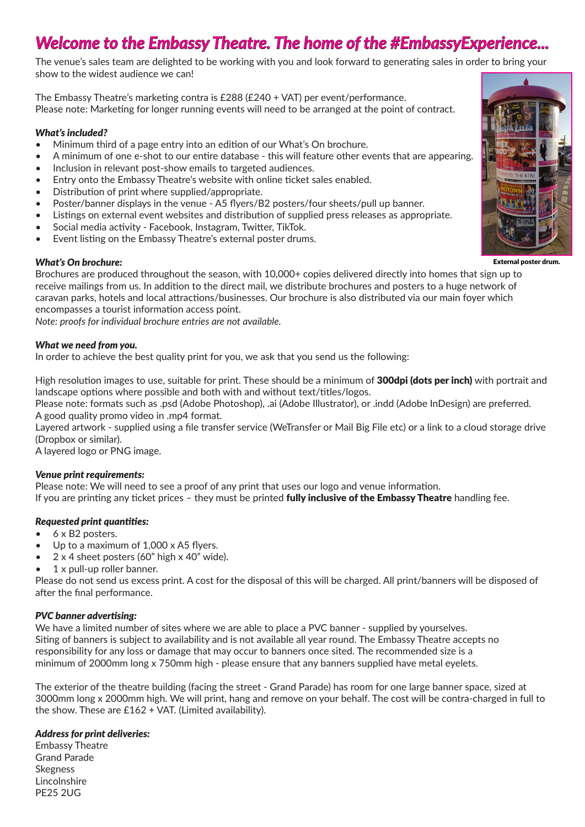# *Welcome to the Embassy Theatre. The home of the #EmbassyExperience...*

The venue's sales team are delighted to be working with you and look forward to generating sales in order to bring your show to the widest audience we can!

The Embassy Theatre's marketing contra is £288 (£240 + VAT) per event/performance. Please note: Marketing for longer running events will need to be arranged at the point of contract.

# *What's included?*

- Minimum third of a page entry into an edition of our What's On brochure.
- A minimum of one e-shot to our entire database this will feature other events that are appearing.
- Inclusion in relevant post-show emails to targeted audiences.
- Entry onto the Embassy Theatre's website with online ticket sales enabled.
- Distribution of print where supplied/appropriate.
- Poster/banner displays in the venue A5 flyers/B2 posters/four sheets/pull up banner.
- Listings on external event websites and distribution of supplied press releases as appropriate.
- Social media activity Facebook, Instagram, Twitter, TikTok.
- Event listing on the Embassy Theatre's external poster drums.

## *What's On brochure:*

Brochures are produced throughout the season, with 10,000+ copies delivered directly into homes that sign up to receive mailings from us. In addition to the direct mail, we distribute brochures and posters to a huge network of caravan parks, hotels and local attractions/businesses. Our brochure is also distributed via our main foyer which encompasses a tourist information access point.

*Note: proofs for individual brochure entries are not available.*

## *What we need from you.*

In order to achieve the best quality print for you, we ask that you send us the following:

High resolution images to use, suitable for print. These should be a minimum of 300dpi (dots per inch) with portrait and landscape options where possible and both with and without text/titles/logos.

Please note: formats such as .psd (Adobe Photoshop), .ai (Adobe Illustrator), or .indd (Adobe InDesign) are preferred. A good quality promo video in .mp4 format.

Layered artwork - supplied using a file transfer service (WeTransfer or Mail Big File etc) or a link to a cloud storage drive (Dropbox or similar).

A layered logo or PNG image.

# *Venue print requirements:*

Please note: We will need to see a proof of any print that uses our logo and venue information. If you are printing any ticket prices - they must be printed fully inclusive of the Embassy Theatre handling fee.

# *Requested print quantities:*

- 6 x B2 posters.
- Up to a maximum of 1,000 x A5 flyers.
- 2 x 4 sheet posters (60" high x 40" wide).
- 1 x pull-up roller banner.

Please do not send us excess print. A cost for the disposal of this will be charged. All print/banners will be disposed of after the final performance.

# *PVC banner advertising:*

We have a limited number of sites where we are able to place a PVC banner - supplied by yourselves. Siting of banners is subject to availability and is not available all year round. The Embassy Theatre accepts no responsibility for any loss or damage that may occur to banners once sited. The recommended size is a minimum of 2000mm long x 750mm high - please ensure that any banners supplied have metal eyelets.

The exterior of the theatre building (facing the street - Grand Parade) has room for one large banner space, sized at 3000mm long x 2000mm high. We will print, hang and remove on your behalf. The cost will be contra-charged in full to the show. These are £162 + VAT. (Limited availability).

# *Address for print deliveries:*

Embassy Theatre Grand Parade Skegness Lincolnshire PE25 2UG



External poster drum.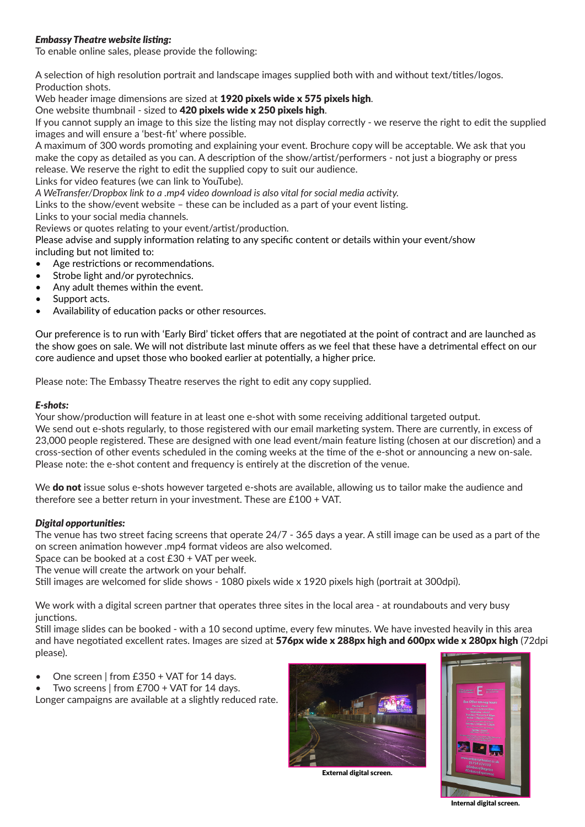# *Embassy Theatre website listing:*

To enable online sales, please provide the following:

A selection of high resolution portrait and landscape images supplied both with and without text/titles/logos. Production shots.

Web header image dimensions are sized at 1920 pixels wide x 575 pixels high.

One website thumbnail - sized to 420 pixels wide x 250 pixels high.

If you cannot supply an image to this size the listing may not display correctly - we reserve the right to edit the supplied images and will ensure a 'best-fit' where possible.

A maximum of 300 words promoting and explaining your event. Brochure copy will be acceptable. We ask that you make the copy as detailed as you can. A description of the show/artist/performers - not just a biography or press release. We reserve the right to edit the supplied copy to suit our audience.

Links for video features (we can link to YouTube).

*A WeTransfer/Dropbox link to a .mp4 video download is also vital for social media activity.*

Links to the show/event website – these can be included as a part of your event listing.

Links to your social media channels.

Reviews or quotes relating to your event/artist/production.

Please advise and supply information relating to any specific content or details within your event/show including but not limited to:

- Age restrictions or recommendations.
- Strobe light and/or pyrotechnics.
- Any adult themes within the event.
- Support acts.
- Availability of education packs or other resources.

Our preference is to run with 'Early Bird' ticket offers that are negotiated at the point of contract and are launched as the show goes on sale. We will not distribute last minute offers as we feel that these have a detrimental effect on our core audience and upset those who booked earlier at potentially, a higher price.

Please note: The Embassy Theatre reserves the right to edit any copy supplied.

## *E-shots:*

Your show/production will feature in at least one e-shot with some receiving additional targeted output. We send out e-shots regularly, to those registered with our email marketing system. There are currently, in excess of 23,000 people registered. These are designed with one lead event/main feature listing (chosen at our discretion) and a cross-section of other events scheduled in the coming weeks at the time of the e-shot or announcing a new on-sale. Please note: the e-shot content and frequency is entirely at the discretion of the venue.

We do not issue solus e-shots however targeted e-shots are available, allowing us to tailor make the audience and therefore see a better return in your investment. These are £100 + VAT.

# *Digital opportunities:*

The venue has two street facing screens that operate 24/7 - 365 days a year. A still image can be used as a part of the on screen animation however .mp4 format videos are also welcomed.

Space can be booked at a cost £30 + VAT per week.

The venue will create the artwork on your behalf.

Still images are welcomed for slide shows - 1080 pixels wide x 1920 pixels high (portrait at 300dpi).

We work with a digital screen partner that operates three sites in the local area - at roundabouts and very busy junctions.

Still image slides can be booked - with a 10 second uptime, every few minutes. We have invested heavily in this area and have negotiated excellent rates. Images are sized at 576px wide x 288px high and 600px wide x 280px high (72dpi please).

- One screen | from £350 + VAT for 14 days.
- Two screens | from £700 + VAT for 14 days.

Longer campaigns are available at a slightly reduced rate.



External digital screen.



Internal digital screen.